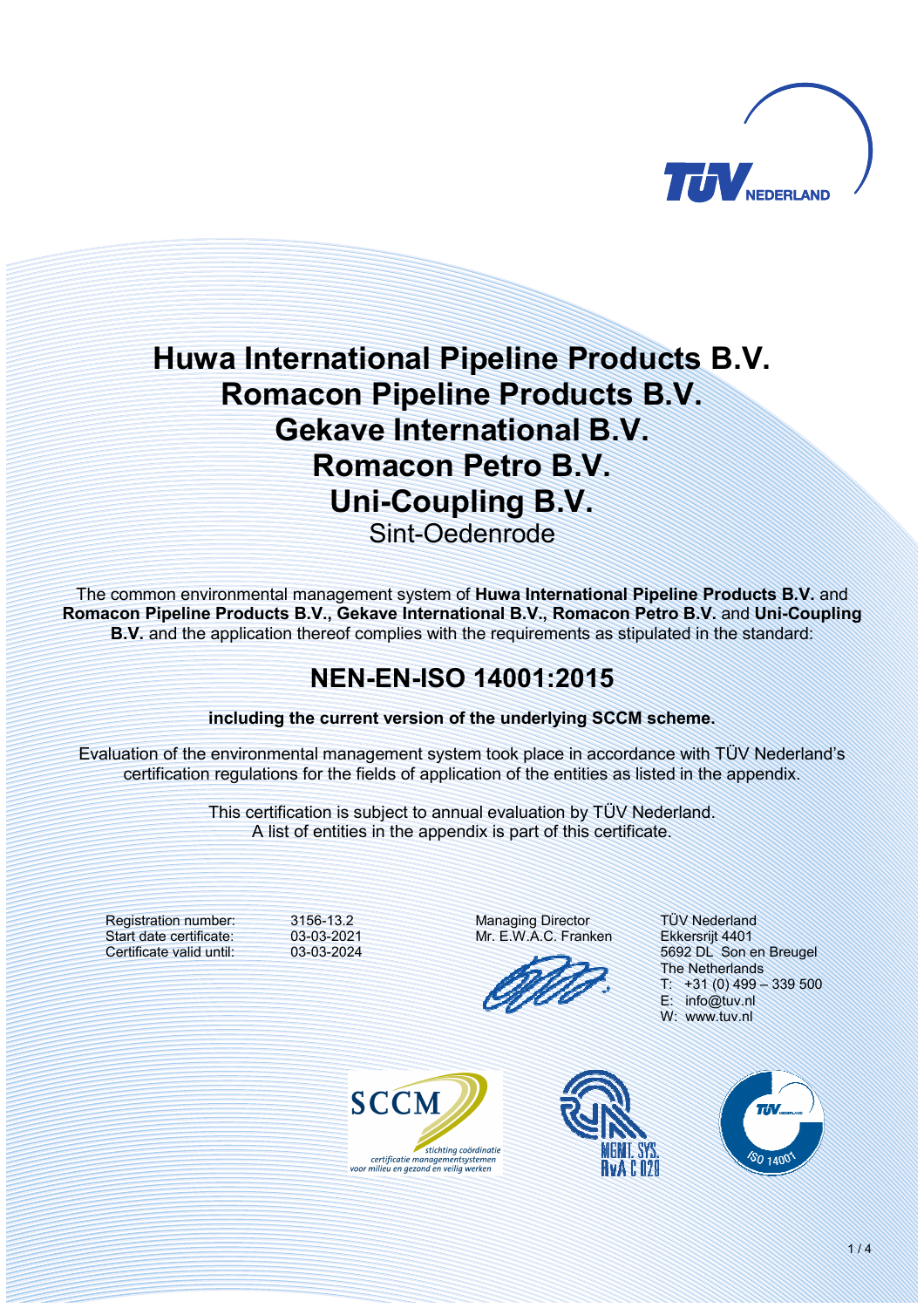

# **Huwa International Pipeline Products B.V. Romacon Pipeline Products B.V. Gekave International B.V. Romacon Petro B.V. Uni-Coupling B.V.** Sint-Oedenrode

The common environmental management system of **Huwa International Pipeline Products B.V.** and Romacon Pipeline Products B.V., Gekave International B.V., Romacon Petro B.V. and Uni-Coupling **B.V.** and the application thereof complies with the requirements as stipulated in the standard:

## **NENENISO 14001:2015**

**including the current version of the underlying SCCM scheme.** 

Evaluation of the environmental management system took place in accordance with TÜV Nederland's certification regulations for the fields of application of the entities as listed in the appendix.

> This certification is subject to annual evaluation by TÜV Nederland. A list of entities in the appendix is part of this certificate.

Registration number: Start date certificate: Certificate valid until:

3156-13.2 03-03-2021 03-03-2024 Managing Director Mr. E.W.A.C. Franken

TÜV Nederland Ekkersrijt 4401 5692 DL Son en Breugel The Netherlands  $T: +31(0)$  499 - 339 500 E: info@tuv.nl W: www.tuv.nl





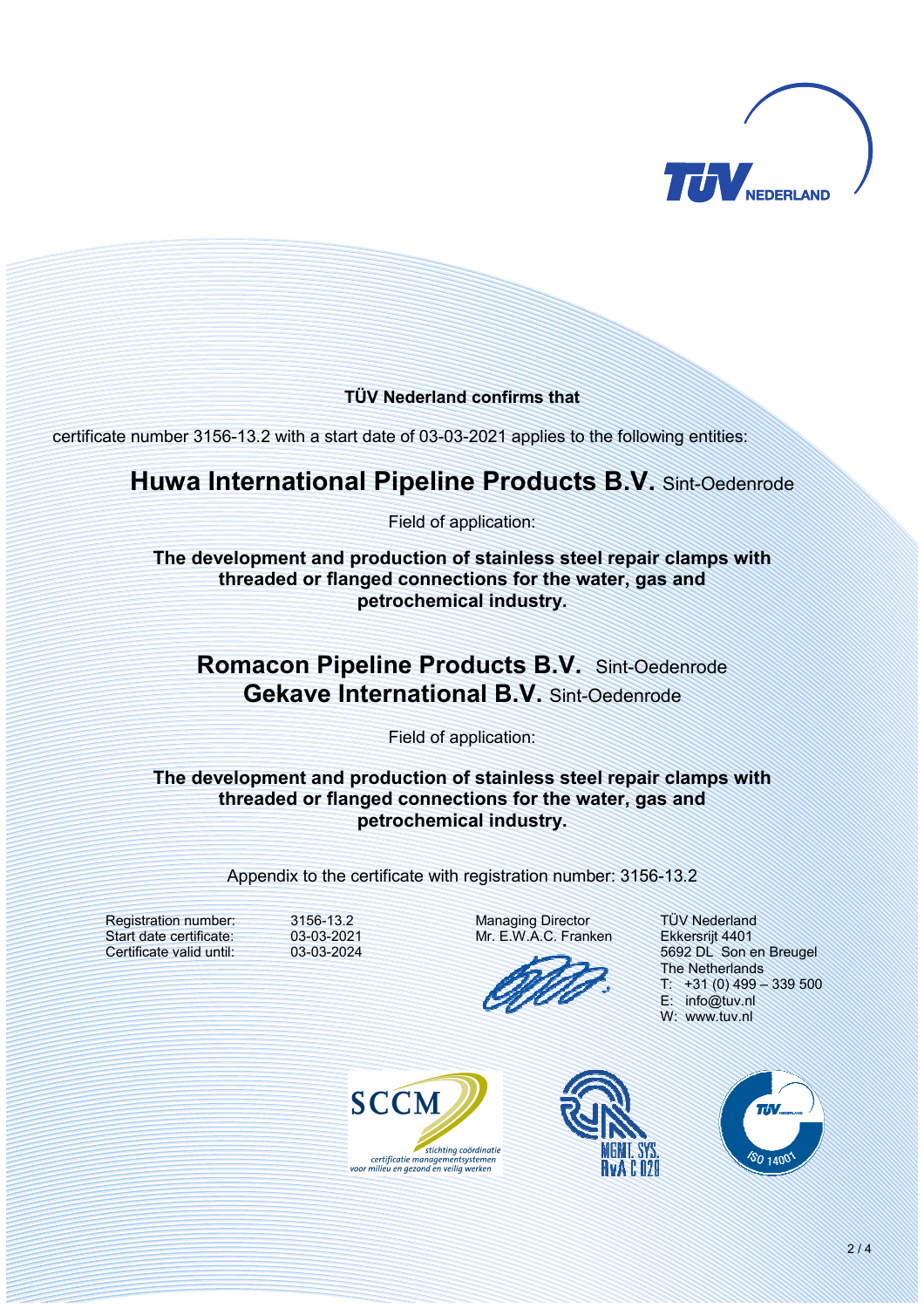

#### **TÜV Nederland confirms that**

certificate number 3156-13.2 with a start date of 03-03-2021 applies to the following entities:

#### **Huwa International Pipeline Products B.V.** Sint-Oedenrode

Field of application:

**The development and production of stainless steel repair clamps with threaded or flanged connections for the water, gas and petrochemical industry.** 

### **Romacon Pipeline Products B.V.** Sint-Oedenrode **Gekave International B.V.** Sint-Oedenrode

Field of application:

**The development and production of stainless steel repair clamps with threaded or flanged connections for the water, gas and petrochemical industry.** 

Appendix to the certificate with registration number: 3156-13.2

Registration number: Start date certificate: Certificate valid until: 3156-13.2 03-03-2021 03-03-2024 Managing Director Mr. E.W.A.C. Franken



TÜV Nederland Ekkersrijt 4401 5692 DL Son en Breugel The Netherlands  $T: +31(0)$  499 - 339 500 E: info@tuv.nl W: www.tuv.nl





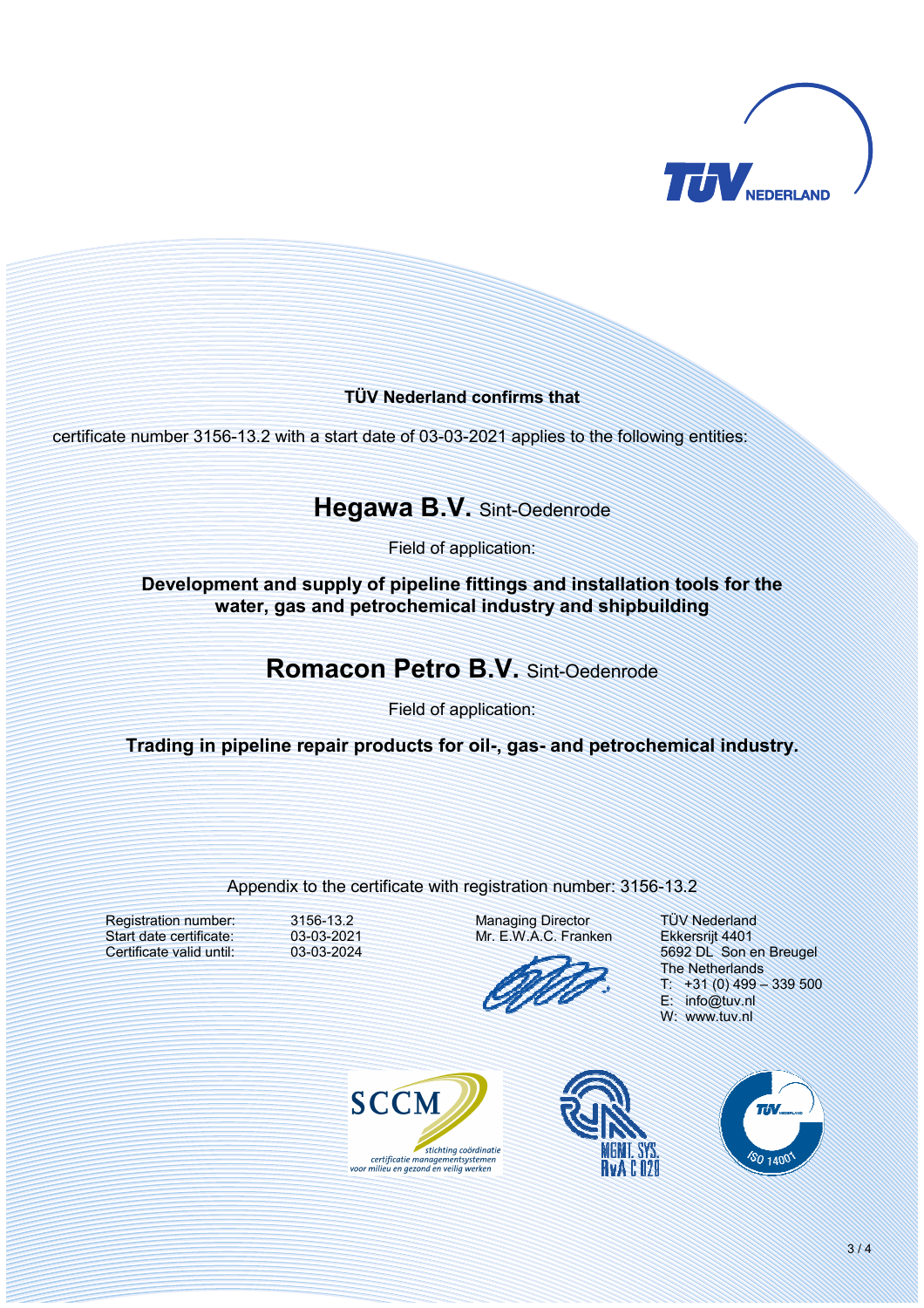

#### **TÜV Nederland confirms that**

certificate number 3156-13.2 with a start date of 03-03-2021 applies to the following entities:

### **Hegawa B.V.** Sint-Oedenrode

Field of application:

**Development and supply of pipeline fittings and installation tools for the water, gas and petrochemical industry and shipbuilding** 

### **Romacon Petro B.V.** Sint-Oedenrode

Field of application:

Trading in pipeline repair products for oil-, gas- and petrochemical industry.

#### Appendix to the certificate with registration number: 3156-13.2

Registration number: Start date certificate: Certificate valid until:

3156-13.2 03-03-2021 03-03-2024

Managing Director Mr. E.W.A.C. Franken



TÜV Nederland Ekkersrijt 4401 5692 DL Son en Breugel The Netherlands  $+31(0)$  499 – 339 500 E: info@tuv.nl W: www.tuv.nl